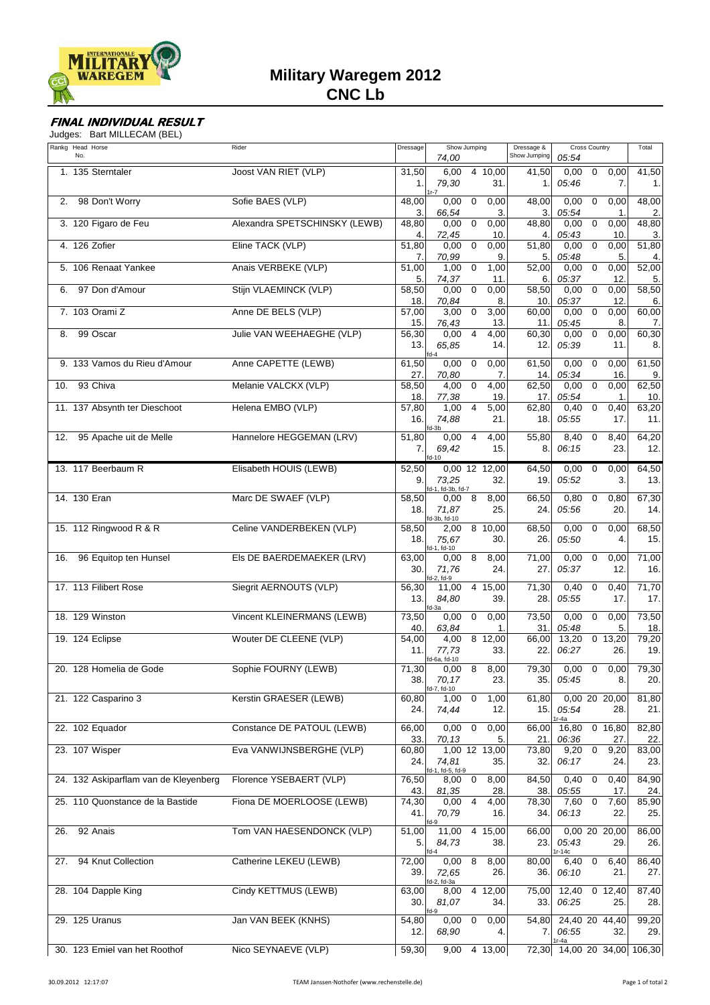

## **FINAL INDIVIDUAL RESULT**

Judges: Bart MILLECAM (BEL)

|     | Rankg Head Horse<br>No.               | Rider                         | Dressage     | 74,00                        | Show Jumping            |                      | Dressage &<br>Show Jumping | <b>Cross Country</b><br>05:54   |             | Total                   |                             |
|-----|---------------------------------------|-------------------------------|--------------|------------------------------|-------------------------|----------------------|----------------------------|---------------------------------|-------------|-------------------------|-----------------------------|
|     | 1. 135 Sterntaler                     | Joost VAN RIET (VLP)          | 31,50<br>1.1 | 6,00<br>79,30<br>$1r-7$      |                         | 4 10,00<br>31.       | 41,50<br>1.                | 0,00<br>05:46                   | 0           | 0,00<br>7.              | 41,50<br>1.                 |
| 2.  | 98 Don't Worry                        | Sofie BAES (VLP)              | 48,00<br>3.  | 0,00<br>66,54                | $\mathbf 0$             | 0,00<br>3.           | 48,00<br>3.                | 0,00<br>05:54                   | 0           | 0,00<br>$\mathbf 1$     | 48,00<br>2.                 |
|     | 3. 120 Figaro de Feu                  | Alexandra SPETSCHINSKY (LEWB) | 48,80<br>4.  | 0,00<br>72,45                | $\overline{0}$          | 0,00<br>10.          | 48,80<br>4.                | 0,00<br>05:43                   | $\mathbf 0$ | 0,00<br>10.             | 48,80<br>3.                 |
|     | 4. 126 Zofier                         | Eline TACK (VLP)              | 51,80<br>7.  | 0,00<br>70,99                | $\overline{0}$          | 0,00<br>9.           | 51,80<br>5.                | 0,00<br>05:48                   | $\mathbf 0$ | 0,00<br>5.              | 51,80<br>4.                 |
|     | 5. 106 Renaat Yankee                  | Anais VERBEKE (VLP)           | 51,00<br>5.  | 1,00<br>74,37                | $\mathbf 0$             | 1,00<br>11.          | 52,00<br>6.                | 0,00<br>05:37                   | 0           | 0,00<br>12              | 52,00<br>5.                 |
| 6.  | 97 Don d'Amour                        | Stijn VLAEMINCK (VLP)         | 58,50<br>18. | 0,00<br>70,84                | $\mathbf 0$             | 0,00<br>8.           | 58,50<br>10.               | 0,00<br>05:37                   | $\pmb{0}$   | 0,00<br>12 <sub>2</sub> | 58,50<br>6.                 |
|     | 7. 103 Orami Z                        | Anne DE BELS (VLP)            | 57,00<br>15. | 3,00<br>76,43                | $\overline{0}$          | 3,00<br>13.          | 60,00<br>11.               | 0,00<br>05:45                   | 0           | 0,00<br>8.              | 60,00<br>7.                 |
| 8.  | 99 Oscar                              | Julie VAN WEEHAEGHE (VLP)     | 56,30<br>13. | 0,00<br>65,85<br>$d - 4$     | $\overline{4}$          | 4,00<br>14.          | 60,30<br>12.               | 0,00<br>05:39                   | 0           | 0,00<br>11.             | 60,30<br>8.                 |
|     | 9. 133 Vamos du Rieu d'Amour          | Anne CAPETTE (LEWB)           | 61,50<br>27. | 0,00<br>70,80                | $\mathbf 0$             | 0,00<br>7.           | 61,50<br>14.               | 0,00<br>05:34                   | 0           | 0,00<br>16.             | 61,50<br>9.                 |
| 10. | 93 Chiva                              | Melanie VALCKX (VLP)          | 58,50<br>18. | 4,00<br>77,38                | $\mathbf 0$             | 4,00<br>19           | 62,50<br>17.               | 0,00<br>05:54                   | 0           | 0,00<br>$\mathbf 1$     | 62,50<br>10.                |
|     | 11. 137 Absynth ter Dieschoot         | Helena EMBO (VLP)             | 57,80<br>16. | 1,00<br>74,88<br>id-3h       | $\overline{\mathbf{4}}$ | 5,00<br>21.          | 62,80<br>18.               | 0,40<br>05:55                   | $\mathbf 0$ | 0,40<br>17.             | 63,20<br>11.                |
| 12. | 95 Apache uit de Melle                | Hannelore HEGGEMAN (LRV)      | 51,80<br>7.  | 0,00<br>69,42<br>$fd-10$     | $\overline{4}$          | 4,00<br>15.          | 55,80<br>8.                | 8,40<br>06:15                   | 0           | 8,40<br>23.             | 64,20<br>12.                |
|     | 13. 117 Beerbaum R                    | Elisabeth HOUIS (LEWB)        | 52,50<br>9.  | 73,25<br>d-1, fd-3b, fd-7    |                         | 0,00 12 12,00<br>32. | 64,50<br>19.               | 0,00<br>05:52                   | 0           | 0,00<br>3.              | 64,50<br>13.                |
|     | 14. 130 Eran                          | Marc DE SWAEF (VLP)           | 58,50<br>18. | 0,00<br>71,87<br>d-3b, fd-10 | 8                       | 8,00<br>25.          | 66,50<br>24.               | 0,80<br>05:56                   | $\mathbf 0$ | 0,80<br>20.             | 67,30<br>14.                |
|     | 15. 112 Ringwood R & R                | Celine VANDERBEKEN (VLP)      | 58,50<br>18. | 2,00<br>75,67<br>d-1, fd-10  |                         | 8 10,00<br>30.       | 68,50<br>26.               | 0,00<br>05:50                   | 0           | 0,00<br>4.              | 68,50<br>15.                |
| 16. | 96 Equitop ten Hunsel                 | EIS DE BAERDEMAEKER (LRV)     | 63,00<br>30. | 0.00<br>71,76<br>fd-2, fd-9  | 8                       | 8,00<br>24.          | 71,00<br>27.               | 0,00<br>05:37                   | 0           | 0,00<br>12.             | 71,00<br>16.                |
|     | 17. 113 Filibert Rose                 | Siegrit AERNOUTS (VLP)        | 56,30<br>13. | 11,00<br>84,80<br>fd-3a      |                         | 4 15,00<br>39.       | 71,30<br>28.               | 0,40<br>05:55                   | $\mathbf 0$ | 0,40<br>17.             | 71,70<br>17.                |
|     | 18. 129 Winston                       | Vincent KLEINERMANS (LEWB)    | 73,50<br>40. | 0,00<br>63,84                | 0                       | 0,00<br>1.           | 73,50<br>31.               | 0,00<br>05:48                   | 0           | 0,00<br>5.              | 73,50<br>18.                |
|     | 19. 124 Eclipse                       | Wouter DE CLEENE (VLP)        | 54,00<br>11. | 4,00<br>77,73<br>d-6a, fd-10 |                         | 8 12,00<br>33.       | 66,00<br>22.               | 13,20<br>06:27                  |             | $0$ 13,20<br>26.        | 79,20<br>19.                |
|     | 20. 128 Homelia de Gode               | Sophie FOURNY (LEWB)          | 71,30<br>38. | 0,00<br>70,17<br>fd-7, fd-10 | 8                       | 8,00<br>23.          | 79,30<br>35.               | 0,00<br>05:45                   | $\mathbf 0$ | 0,00<br>8.              | 79,30<br>20.                |
|     | 21. 122 Casparino 3                   | Kerstin GRAESER (LEWB)        | 60,80<br>24. | $1,00$ 0<br>74,44            |                         | 1,00<br>12.          | 61,80<br>15.               | 05:54<br>r-4a                   |             | 0,00 20 20,00<br>28.    | 81,80<br>21.                |
|     | 22. 102 Equador                       | Constance DE PATOUL (LEWB)    | 66,00<br>33. | $0,00$ 0<br>70,13            |                         | 0,00<br>5.           | 66,00<br>21.               | 16,80<br>06:36                  |             | 0, 16, 80<br>27.        | 82,80<br>22.                |
|     | 23. 107 Wisper                        | Eva VANWIJNSBERGHE (VLP)      | 60,80<br>24. | 74,81<br>id-1, fd-5, fd-9    |                         | 1,00 12 13,00<br>35. | 73,80<br>32.               | 9,20<br>06:17                   | $\mathbf 0$ | 9,20<br>24.             | 83,00<br>23.                |
|     | 24. 132 Askiparflam van de Kleyenberg | Florence YSEBAERT (VLP)       | 76,50<br>43. | 8,00<br>81,35                | $\mathbf 0$             | 8,00<br>28           | 84,50<br>38.               | 0,40<br>05:55                   | 0           | 0,40<br>17.             | 84,90<br>24.                |
|     | 25. 110 Quonstance de la Bastide      | Fiona DE MOERLOOSE (LEWB)     | 74,30<br>41. | 0,00<br>70,79<br>fd-9        | $\overline{4}$          | 4,00<br>16.          | 78,30<br>34.               | 7,60<br>06:13                   | $\mathbf 0$ | 7,60<br>22.             | 85,90<br>25.                |
| 26. | 92 Anais                              | Tom VAN HAESENDONCK (VLP)     | 51,00<br>5.  | 11,00<br>84,73               | $\overline{4}$          | 15,00<br>38.         | 66,00<br>23.               | 05:43<br>$r-14c$                |             | 0,00 20 20,00<br>29.    | 86,00<br>26.                |
| 27. | 94 Knut Collection                    | Catherine LEKEU (LEWB)        | 72,00<br>39. | 0,00<br>72,65<br>d-2, fd-3a  | 8                       | 8,00<br>26.          | 80,00<br>36.               | 6,40<br>06:10                   | $\mathbf 0$ | 6,40<br>21.             | 86,40<br>27.                |
|     | 28. 104 Dapple King                   | Cindy KETTMUS (LEWB)          | 63,00<br>30. | 8,00<br>81,07<br>$d-9$       |                         | 4 12,00<br>34.       | 75,00<br>33.               | 12,40<br>06:25                  |             | $0$ 12,40<br>25.        | 87,40<br>28.                |
|     | 29. 125 Uranus                        | Jan VAN BEEK (KNHS)           | 54,80<br>12. | 0,00<br>68,90                | $\overline{0}$          | 0,00<br>4.           | 54,80<br>7.                | 24,40 20 44,40<br>06:55<br>r-4a |             | 32.                     | 99,20<br>29.                |
|     | 30. 123 Emiel van het Roothof         | Nico SEYNAEVE (VLP)           | 59,30        |                              |                         | 9,00 4 13,00         |                            |                                 |             |                         | 72,30 14,00 20 34,00 106,30 |